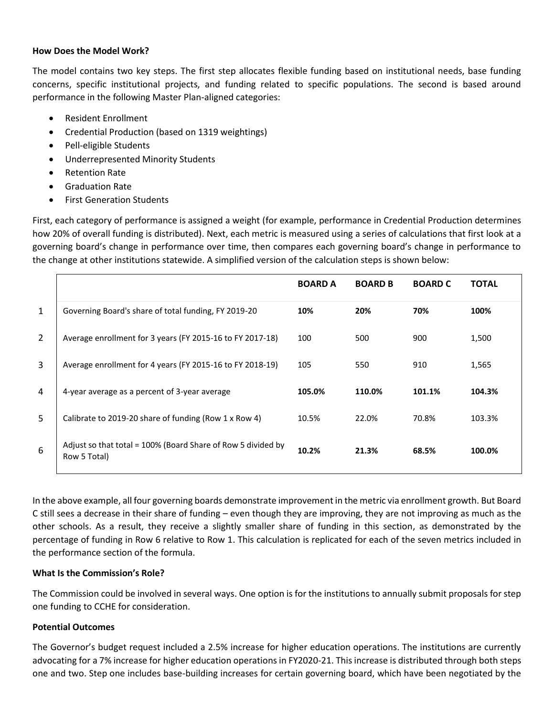## **How Does the Model Work?**

The model contains two key steps. The first step allocates flexible funding based on institutional needs, base funding concerns, specific institutional projects, and funding related to specific populations. The second is based around performance in the following Master Plan-aligned categories:

- Resident Enrollment
- Credential Production (based on 1319 weightings)
- Pell-eligible Students
- Underrepresented Minority Students
- Retention Rate
- Graduation Rate
- **First Generation Students**

First, each category of performance is assigned a weight (for example, performance in Credential Production determines how 20% of overall funding is distributed). Next, each metric is measured using a series of calculations that first look at a governing board's change in performance over time, then compares each governing board's change in performance to the change at other institutions statewide. A simplified version of the calculation steps is shown below:

|                |                                                                              | <b>BOARD A</b> | <b>BOARD B</b> | <b>BOARD C</b> | <b>TOTAL</b> |
|----------------|------------------------------------------------------------------------------|----------------|----------------|----------------|--------------|
| $\mathbf{1}$   | Governing Board's share of total funding, FY 2019-20                         | 10%            | 20%            | 70%            | 100%         |
| $\overline{2}$ | Average enrollment for 3 years (FY 2015-16 to FY 2017-18)                    | 100            | 500            | 900            | 1,500        |
| 3              | Average enrollment for 4 years (FY 2015-16 to FY 2018-19)                    | 105            | 550            | 910            | 1,565        |
| 4              | 4-year average as a percent of 3-year average                                | 105.0%         | 110.0%         | 101.1%         | 104.3%       |
| 5              | Calibrate to 2019-20 share of funding (Row 1 x Row 4)                        | 10.5%          | 22.0%          | 70.8%          | 103.3%       |
| 6              | Adjust so that total = 100% (Board Share of Row 5 divided by<br>Row 5 Total) | 10.2%          | 21.3%          | 68.5%          | 100.0%       |

In the above example, all four governing boards demonstrate improvement in the metric via enrollment growth. But Board C still sees a decrease in their share of funding – even though they are improving, they are not improving as much as the other schools. As a result, they receive a slightly smaller share of funding in this section, as demonstrated by the percentage of funding in Row 6 relative to Row 1. This calculation is replicated for each of the seven metrics included in the performance section of the formula.

## **What Is the Commission's Role?**

The Commission could be involved in several ways. One option is for the institutions to annually submit proposals for step one funding to CCHE for consideration.

## **Potential Outcomes**

The Governor's budget request included a 2.5% increase for higher education operations. The institutions are currently advocating for a 7% increase for higher education operations in FY2020-21. This increase is distributed through both steps one and two. Step one includes base-building increases for certain governing board, which have been negotiated by the